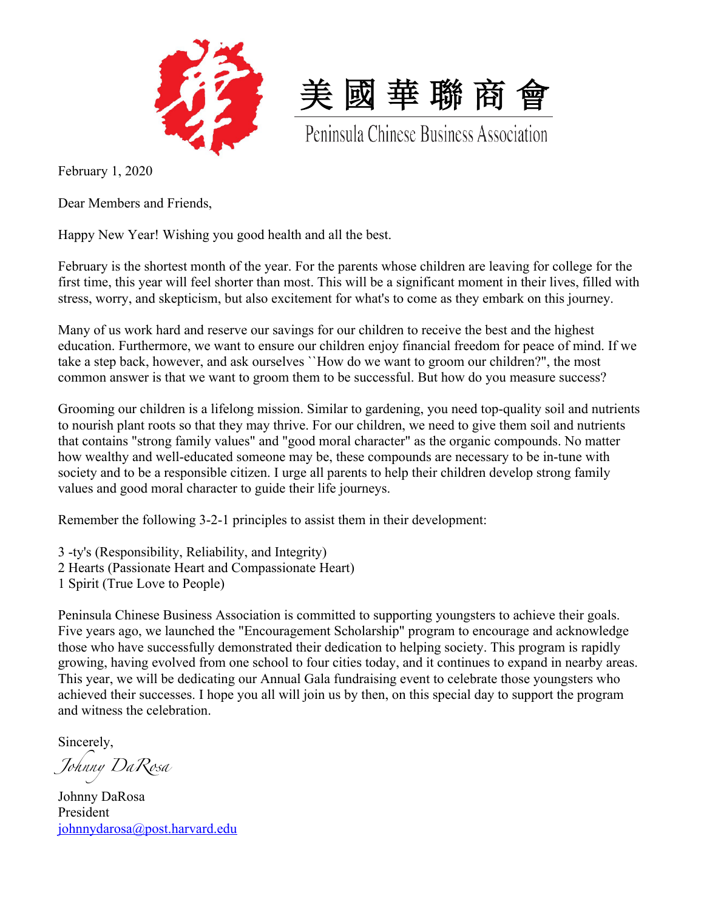



Peninsula Chinese Business Association

February 1, 2020

Dear Members and Friends,

Happy New Year! Wishing you good health and all the best.

February is the shortest month of the year. For the parents whose children are leaving for college for the first time, this year will feel shorter than most. This will be a significant moment in their lives, filled with stress, worry, and skepticism, but also excitement for what's to come as they embark on this journey.

Many of us work hard and reserve our savings for our children to receive the best and the highest education. Furthermore, we want to ensure our children enjoy financial freedom for peace of mind. If we take a step back, however, and ask ourselves ``How do we want to groom our children?", the most common answer is that we want to groom them to be successful. But how do you measure success?

Grooming our children is a lifelong mission. Similar to gardening, you need top-quality soil and nutrients to nourish plant roots so that they may thrive. For our children, we need to give them soil and nutrients that contains "strong family values" and "good moral character" as the organic compounds. No matter how wealthy and well-educated someone may be, these compounds are necessary to be in-tune with society and to be a responsible citizen. I urge all parents to help their children develop strong family values and good moral character to guide their life journeys.

Remember the following 3-2-1 principles to assist them in their development:

3 -ty's (Responsibility, Reliability, and Integrity) 2 Hearts (Passionate Heart and Compassionate Heart) 1 Spirit (True Love to People)

Peninsula Chinese Business Association is committed to supporting youngsters to achieve their goals. Five years ago, we launched the "Encouragement Scholarship" program to encourage and acknowledge those who have successfully demonstrated their dedication to helping society. This program is rapidly growing, having evolved from one school to four cities today, and it continues to expand in nearby areas. This year, we will be dedicating our Annual Gala fundraising event to celebrate those youngsters who achieved their successes. I hope you all will join us by then, on this special day to support the program and witness the celebration.

Sincerely,

*Johnny DaRosa*

Johnny DaRosa President johnnydarosa@post.harvard.edu